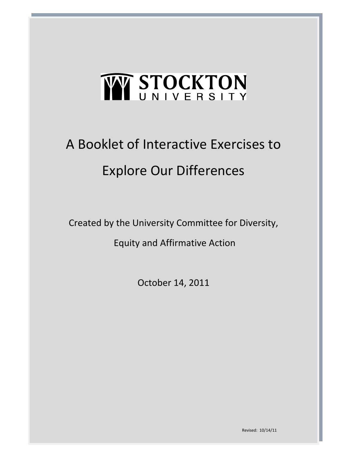# W STOCKTON

### A Booklet of Interactive Exercises to Explore Our Differences

Created by the University Committee for Diversity,

Equity and Affirmative Action

October 14, 2011

Revised: 10/14/11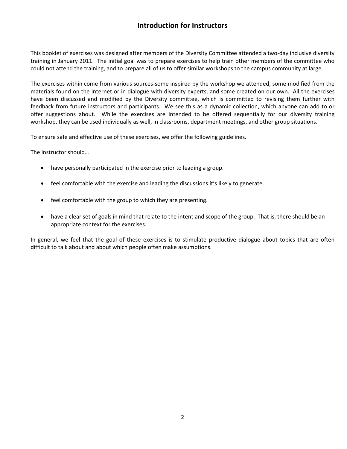#### **Introduction for Instructors**

This booklet of exercises was designed after members of the Diversity Committee attended a two-day inclusive diversity training in January 2011. The initial goal was to prepare exercises to help train other members of the committee who could not attend the training, and to prepare all of us to offer similar workshops to the campus community at large.

The exercises within come from various sources-some inspired by the workshop we attended, some modified from the materials found on the internet or in dialogue with diversity experts, and some created on our own. All the exercises have been discussed and modified by the Diversity committee, which is committed to revising them further with feedback from future instructors and participants. We see this as a dynamic collection, which anyone can add to or offer suggestions about. While the exercises are intended to be offered sequentially for our diversity training workshop, they can be used individually as well, in classrooms, department meetings, and other group situations.

To ensure safe and effective use of these exercises, we offer the following guidelines.

The instructor should…

- have personally participated in the exercise prior to leading a group.
- feel comfortable with the exercise and leading the discussions it's likely to generate.
- feel comfortable with the group to which they are presenting.
- have a clear set of goals in mind that relate to the intent and scope of the group. That is, there should be an appropriate context for the exercises.

In general, we feel that the goal of these exercises is to stimulate productive dialogue about topics that are often difficult to talk about and about which people often make assumptions.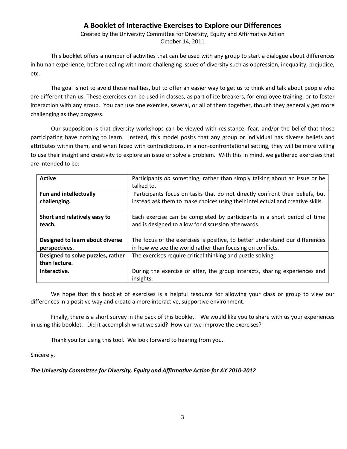#### **A Booklet of Interactive Exercises to Explore our Differences**

Created by the University Committee for Diversity, Equity and Affirmative Action October 14, 2011

This booklet offers a number of activities that can be used with any group to start a dialogue about differences in human experience, before dealing with more challenging issues of diversity such as oppression, inequality, prejudice, etc.

The goal is not to avoid those realities, but to offer an easier way to get us to think and talk about people who are different than us. These exercises can be used in classes, as part of ice breakers, for employee training, or to foster interaction with any group. You can use one exercise, several, or all of them together, though they generally get more challenging as they progress.

Our supposition is that diversity workshops can be viewed with resistance, fear, and/or the belief that those participating have nothing to learn. Instead, this model posits that any group or individual has diverse beliefs and attributes within them, and when faced with contradictions, in a non-confrontational setting, they will be more willing to use their insight and creativity to explore an issue or solve a problem. With this in mind, we gathered exercises that are intended to be:

| <b>Active</b>                                      | Participants do something, rather than simply talking about an issue or be<br>talked to. |  |  |  |  |  |
|----------------------------------------------------|------------------------------------------------------------------------------------------|--|--|--|--|--|
| <b>Fun and intellectually</b>                      | Participants focus on tasks that do not directly confront their beliefs, but             |  |  |  |  |  |
| challenging.                                       | instead ask them to make choices using their intellectual and creative skills.           |  |  |  |  |  |
| Short and relatively easy to                       | Each exercise can be completed by participants in a short period of time                 |  |  |  |  |  |
| teach.                                             | and is designed to allow for discussion afterwards.                                      |  |  |  |  |  |
| Designed to learn about diverse                    | The focus of the exercises is positive, to better understand our differences             |  |  |  |  |  |
| perspectives.                                      | in how we see the world rather than focusing on conflicts.                               |  |  |  |  |  |
| Designed to solve puzzles, rather<br>than lecture. | The exercises require critical thinking and puzzle solving.                              |  |  |  |  |  |
| Interactive.                                       | During the exercise or after, the group interacts, sharing experiences and<br>insights.  |  |  |  |  |  |

We hope that this booklet of exercises is a helpful resource for allowing your class or group to view our differences in a positive way and create a more interactive, supportive environment.

Finally, there is a short survey in the back of this booklet. We would like you to share with us your experiences in using this booklet. Did it accomplish what we said? How can we improve the exercises?

Thank you for using this tool. We look forward to hearing from you.

Sincerely,

#### *The University Committee for Diversity, Equity and Affirmative Action for AY 2010-2012*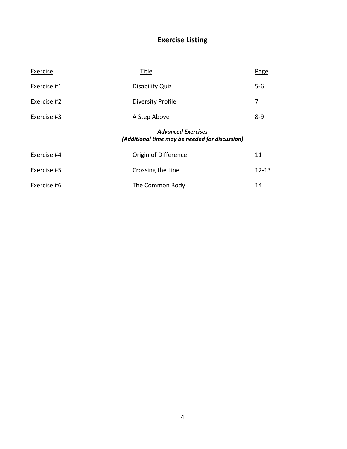#### **Exercise Listing**

| Exercise    | Title                                                                       | <b>Page</b> |  |  |  |  |  |
|-------------|-----------------------------------------------------------------------------|-------------|--|--|--|--|--|
| Exercise #1 | Disability Quiz                                                             | $5-6$       |  |  |  |  |  |
| Exercise #2 | <b>Diversity Profile</b>                                                    | 7           |  |  |  |  |  |
| Exercise #3 | A Step Above                                                                | $8 - 9$     |  |  |  |  |  |
|             | <b>Advanced Exercises</b><br>(Additional time may be needed for discussion) |             |  |  |  |  |  |
|             |                                                                             |             |  |  |  |  |  |
| Exercise #4 | Origin of Difference                                                        | 11          |  |  |  |  |  |
| Exercise #5 | Crossing the Line                                                           | $12 - 13$   |  |  |  |  |  |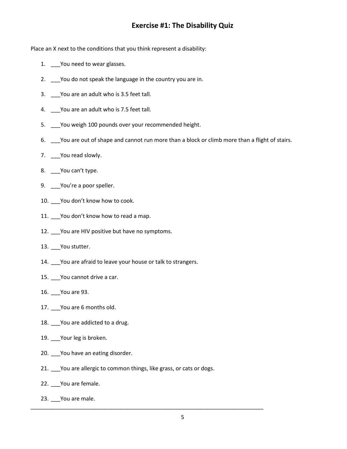#### **Exercise #1: The Disability Quiz**

Place an X next to the conditions that you think represent a disability:

- 1. \_\_\_\_ You need to wear glasses.
- 2. \_\_\_ You do not speak the language in the country you are in.
- 3. \_\_\_You are an adult who is 3.5 feet tall.
- 4. You are an adult who is 7.5 feet tall.
- 5. \_\_\_You weigh 100 pounds over your recommended height.
- 6. \_\_\_You are out of shape and cannot run more than a block or climb more than a flight of stairs.
- 7. Nou read slowly.
- 8. \_\_\_You can't type.
- 9. You're a poor speller.
- 10. \_\_\_You don't know how to cook.
- 11. You don't know how to read a map.
- 12. \_\_\_You are HIV positive but have no symptoms.
- 13. \_\_\_You stutter.
- 14. You are afraid to leave your house or talk to strangers.
- 15. \_\_\_You cannot drive a car.
- 16. \_\_\_You are 93.
- 17. \_\_\_You are 6 months old.
- 18. \_\_\_You are addicted to a drug.
- 19. Your leg is broken.
- 20. You have an eating disorder.
- 21. \_\_\_ You are allergic to common things, like grass, or cats or dogs.

\_\_\_\_\_\_\_\_\_\_\_\_\_\_\_\_\_\_\_\_\_\_\_\_\_\_\_\_\_\_\_\_\_\_\_\_\_\_\_\_\_\_\_\_\_\_\_\_\_\_\_\_\_\_\_\_\_\_\_\_\_\_\_\_\_\_\_\_\_\_\_\_\_\_\_

- 22. \_\_\_You are female.
- 23. \_\_\_You are male.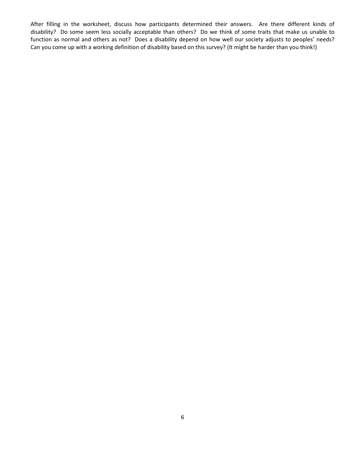After filling in the worksheet, discuss how participants determined their answers. Are there different kinds of disability? Do some seem less socially acceptable than others? Do we think of some traits that make us unable to function as normal and others as not? Does a disability depend on how well our society adjusts to peoples' needs? Can you come up with a working definition of disability based on this survey? (It might be harder than you think!)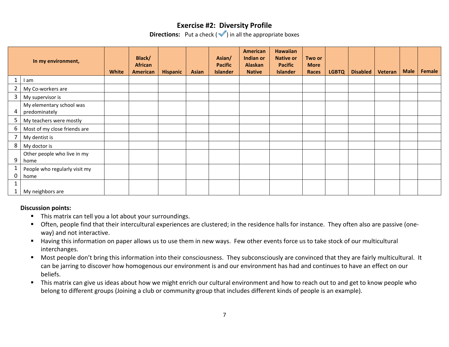#### **Exercise #2: Diversity Profile**

**Directions:** Put a check  $(\sqrt{\ } )$  in all the appropriate boxes

|              | In my environment,                        | White | Black/<br><b>African</b><br>American | <b>Hispanic</b> | <b>Asian</b> | Asian/<br><b>Pacific</b><br><b>Islander</b> | American<br>Indian or<br><b>Alaskan</b><br><b>Native</b> | <b>Hawaiian</b><br><b>Native or</b><br><b>Pacific</b><br><b>Islander</b> | Two or<br><b>More</b><br>Races | <b>LGBTQ</b> | <b>Disabled</b> | Veteran | <b>Male</b> | Female |
|--------------|-------------------------------------------|-------|--------------------------------------|-----------------|--------------|---------------------------------------------|----------------------------------------------------------|--------------------------------------------------------------------------|--------------------------------|--------------|-----------------|---------|-------------|--------|
|              | I am                                      |       |                                      |                 |              |                                             |                                                          |                                                                          |                                |              |                 |         |             |        |
| $\mathbf{2}$ | My Co-workers are                         |       |                                      |                 |              |                                             |                                                          |                                                                          |                                |              |                 |         |             |        |
| 3            | My supervisor is                          |       |                                      |                 |              |                                             |                                                          |                                                                          |                                |              |                 |         |             |        |
| 4            | My elementary school was<br>predominately |       |                                      |                 |              |                                             |                                                          |                                                                          |                                |              |                 |         |             |        |
| 5            | My teachers were mostly                   |       |                                      |                 |              |                                             |                                                          |                                                                          |                                |              |                 |         |             |        |
| 6            | Most of my close friends are              |       |                                      |                 |              |                                             |                                                          |                                                                          |                                |              |                 |         |             |        |
|              | My dentist is                             |       |                                      |                 |              |                                             |                                                          |                                                                          |                                |              |                 |         |             |        |
| 8            | My doctor is                              |       |                                      |                 |              |                                             |                                                          |                                                                          |                                |              |                 |         |             |        |
| 9            | Other people who live in my<br>home       |       |                                      |                 |              |                                             |                                                          |                                                                          |                                |              |                 |         |             |        |
| 0            | People who regularly visit my<br>home     |       |                                      |                 |              |                                             |                                                          |                                                                          |                                |              |                 |         |             |        |
|              | My neighbors are                          |       |                                      |                 |              |                                             |                                                          |                                                                          |                                |              |                 |         |             |        |

#### **Discussion points:**

- This matrix can tell you a lot about your surroundings.
- Often, people find that their intercultural experiences are clustered; in the residence halls for instance. They often also are passive (oneway) and not interactive.
- Having this information on paper allows us to use them in new ways. Few other events force us to take stock of our multicultural interchanges.
- **Most people don't bring this information into their consciousness. They subconsciously are convinced that they are fairly multicultural. It** can be jarring to discover how homogenous our environment is and our environment has had and continues to have an effect on our beliefs.
- **This matrix can give us ideas about how we might enrich our cultural environment and how to reach out to and get to know people who** belong to different groups (Joining a club or community group that includes different kinds of people is an example).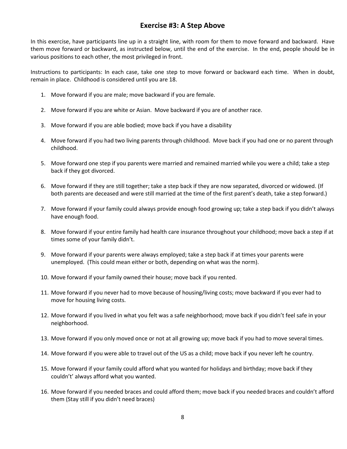#### **Exercise #3: A Step Above**

In this exercise, have participants line up in a straight line, with room for them to move forward and backward. Have them move forward or backward, as instructed below, until the end of the exercise. In the end, people should be in various positions to each other, the most privileged in front.

Instructions to participants: In each case, take one step to move forward or backward each time. When in doubt, remain in place. Childhood is considered until you are 18.

- 1. Move forward if you are male; move backward if you are female.
- 2. Move forward if you are white or Asian. Move backward if you are of another race.
- 3. Move forward if you are able bodied; move back if you have a disability
- 4. Move forward if you had two living parents through childhood. Move back if you had one or no parent through childhood.
- 5. Move forward one step if you parents were married and remained married while you were a child; take a step back if they got divorced.
- 6. Move forward if they are still together; take a step back if they are now separated, divorced or widowed. (If both parents are deceased and were still married at the time of the first parent's death, take a step forward.)
- 7. Move forward if your family could always provide enough food growing up; take a step back if you didn't always have enough food.
- 8. Move forward if your entire family had health care insurance throughout your childhood; move back a step if at times some of your family didn't.
- 9. Move forward if your parents were always employed; take a step back if at times your parents were unemployed. (This could mean either or both, depending on what was the norm).
- 10. Move forward if your family owned their house; move back if you rented.
- 11. Move forward if you never had to move because of housing/living costs; move backward if you ever had to move for housing living costs.
- 12. Move forward if you lived in what you felt was a safe neighborhood; move back if you didn't feel safe in your neighborhood.
- 13. Move forward if you only moved once or not at all growing up; move back if you had to move several times.
- 14. Move forward if you were able to travel out of the US as a child; move back if you never left he country.
- 15. Move forward if your family could afford what you wanted for holidays and birthday; move back if they couldn't' always afford what you wanted.
- 16. Move forward if you needed braces and could afford them; move back if you needed braces and couldn't afford them (Stay still if you didn't need braces)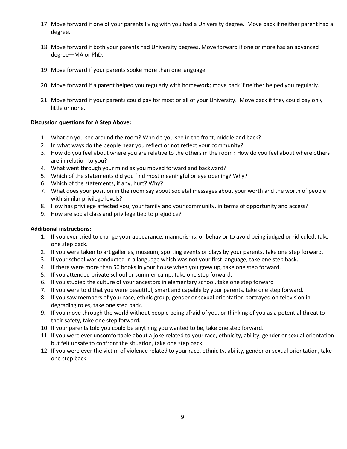- 17. Move forward if one of your parents living with you had a University degree. Move back if neither parent had a degree.
- 18. Move forward if both your parents had University degrees. Move forward if one or more has an advanced degree—MA or PhD.
- 19. Move forward if your parents spoke more than one language.
- 20. Move forward if a parent helped you regularly with homework; move back if neither helped you regularly.
- 21. Move forward if your parents could pay for most or all of your University. Move back if they could pay only little or none.

#### **Discussion questions for A Step Above:**

- 1. What do you see around the room? Who do you see in the front, middle and back?
- 2. In what ways do the people near you reflect or not reflect your community?
- 3. How do you feel about where you are relative to the others in the room? How do you feel about where others are in relation to you?
- 4. What went through your mind as you moved forward and backward?
- 5. Which of the statements did you find most meaningful or eye opening? Why?
- 6. Which of the statements, if any, hurt? Why?
- 7. What does your position in the room say about societal messages about your worth and the worth of people with similar privilege levels?
- 8. How has privilege affected you, your family and your community, in terms of opportunity and access?
- 9. How are social class and privilege tied to prejudice?

#### **Additional instructions:**

- 1. If you ever tried to change your appearance, mannerisms, or behavior to avoid being judged or ridiculed, take one step back.
- 2. If you were taken to art galleries, museum, sporting events or plays by your parents, take one step forward.
- 3. If your school was conducted in a language which was not your first language, take one step back.
- 4. If there were more than 50 books in your house when you grew up, take one step forward.
- 5. If you attended private school or summer camp, take one step forward.
- 6. If you studied the culture of your ancestors in elementary school, take one step forward
- 7. If you were told that you were beautiful, smart and capable by your parents, take one step forward.
- 8. If you saw members of your race, ethnic group, gender or sexual orientation portrayed on television in degrading roles, take one step back.
- 9. If you move through the world without people being afraid of you, or thinking of you as a potential threat to their safety, take one step forward.
- 10. If your parents told you could be anything you wanted to be, take one step forward.
- 11. If you were ever uncomfortable about a joke related to your race, ethnicity, ability, gender or sexual orientation but felt unsafe to confront the situation, take one step back.
- 12. If you were ever the victim of violence related to your race, ethnicity, ability, gender or sexual orientation, take one step back.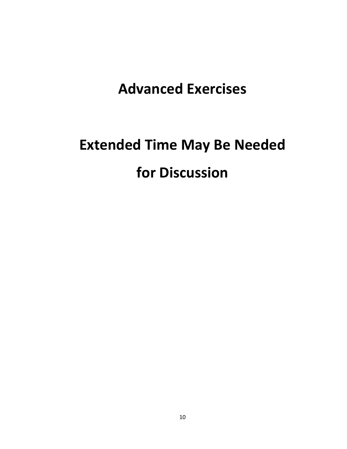### **Advanced Exercises**

## **Extended Time May Be Needed for Discussion**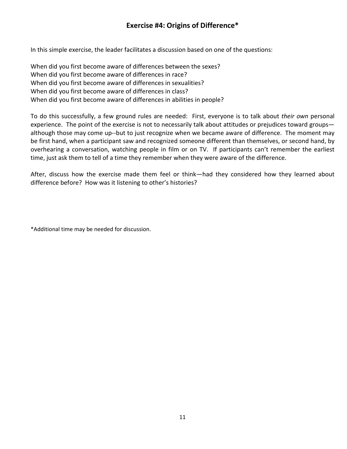#### **Exercise #4: Origins of Difference\***

In this simple exercise, the leader facilitates a discussion based on one of the questions:

When did you first become aware of differences between the sexes? When did you first become aware of differences in race? When did you first become aware of differences in sexualities? When did you first become aware of differences in class? When did you first become aware of differences in abilities in people?

To do this successfully, a few ground rules are needed: First, everyone is to talk about *their own* personal experience. The point of the exercise is not to necessarily talk about attitudes or prejudices toward groups although those may come up--but to just recognize when we became aware of difference. The moment may be first hand, when a participant saw and recognized someone different than themselves, or second hand, by overhearing a conversation, watching people in film or on TV. If participants can't remember the earliest time, just ask them to tell of a time they remember when they were aware of the difference.

After, discuss how the exercise made them feel or think—had they considered how they learned about difference before? How was it listening to other's histories?

\*Additional time may be needed for discussion.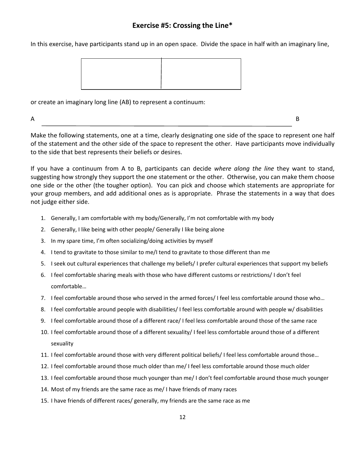#### **Exercise #5: Crossing the Line\***

In this exercise, have participants stand up in an open space. Divide the space in half with an imaginary line,



or create an imaginary long line (AB) to represent a continuum:

 $\mathsf A$ 

Make the following statements, one at a time, clearly designating one side of the space to represent one half of the statement and the other side of the space to represent the other. Have participants move individually to the side that best represents their beliefs or desires.

If you have a continuum from A to B, participants can decide *where along the line* they want to stand, suggesting how strongly they support the one statement or the other. Otherwise, you can make them choose one side or the other (the tougher option). You can pick and choose which statements are appropriate for your group members, and add additional ones as is appropriate. Phrase the statements in a way that does not judge either side.

- 1. Generally, I am comfortable with my body/Generally, I'm not comfortable with my body
- 2. Generally, I like being with other people/ Generally I like being alone
- 3. In my spare time, I'm often socializing/doing activities by myself
- 4. I tend to gravitate to those similar to me/I tend to gravitate to those different than me
- 5. I seek out cultural experiences that challenge my beliefs/ I prefer cultural experiences that support my beliefs
- 6. I feel comfortable sharing meals with those who have different customs or restrictions/ I don't feel comfortable…
- 7. I feel comfortable around those who served in the armed forces/ I feel less comfortable around those who…
- 8. I feel comfortable around people with disabilities/ I feel less comfortable around with people w/ disabilities
- 9. I feel comfortable around those of a different race/ I feel less comfortable around those of the same race
- 10. I feel comfortable around those of a different sexuality/ I feel less comfortable around those of a different sexuality
- 11. I feel comfortable around those with very different political beliefs/ I feel less comfortable around those…
- 12. I feel comfortable around those much older than me/ I feel less comfortable around those much older
- 13. I feel comfortable around those much younger than me/ I don't feel comfortable around those much younger
- 14. Most of my friends are the same race as me/ I have friends of many races
- 15. I have friends of different races/ generally, my friends are the same race as me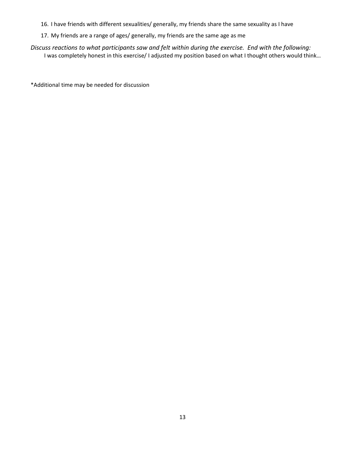- 16. I have friends with different sexualities/ generally, my friends share the same sexuality as I have
- 17. My friends are a range of ages/ generally, my friends are the same age as me

*Discuss reactions to what participants saw and felt within during the exercise. End with the following:* I was completely honest in this exercise/ I adjusted my position based on what I thought others would think…

\*Additional time may be needed for discussion